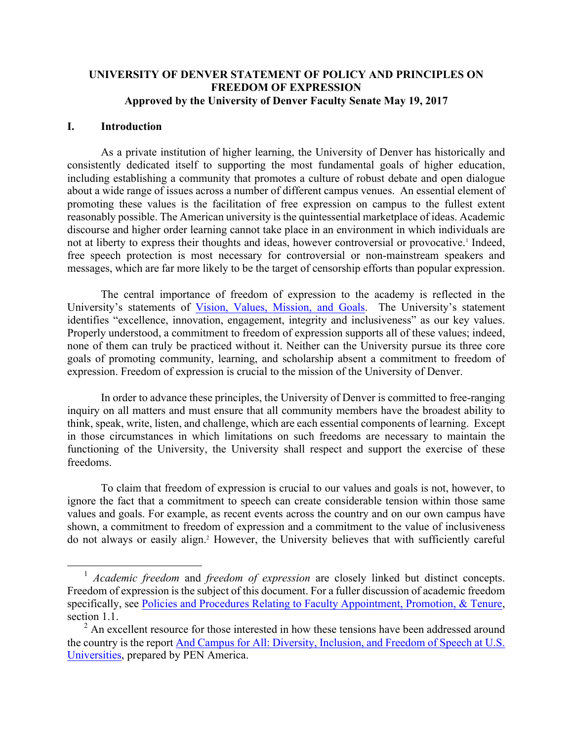## **UNIVERSITY OF DENVER STATEMENT OF POLICY AND PRINCIPLES ON FREEDOM OF EXPRESSION Approved by the University of Denver Faculty Senate May 19, 2017**

### **I. Introduction**

As a private institution of higher learning, the University of Denver has historically and consistently dedicated itself to supporting the most fundamental goals of higher education, including establishing a community that promotes a culture of robust debate and open dialogue about a wide range of issues across a number of different campus venues. An essential element of promoting these values is the facilitation of free expression on campus to the fullest extent reasonably possible. The American university is the quintessential marketplace of ideas. Academic discourse and higher order learning cannot take place in an environment in which individuals are not at liberty to express their thoughts and ideas, however controversial or provocative.<sup>1</sup> Indeed, free speech protection is most necessary for controversial or non-mainstream speakers and messages, which are far more likely to be the target of censorship efforts than popular expression.

The central importance of freedom of expression to the academy is reflected in the University's statements of Vision, Values, Mission, and Goals. The University's statement identifies "excellence, innovation, engagement, integrity and inclusiveness" as our key values. Properly understood, a commitment to freedom of expression supports all of these values; indeed, none of them can truly be practiced without it. Neither can the University pursue its three core goals of promoting community, learning, and scholarship absent a commitment to freedom of expression. Freedom of expression is crucial to the mission of the University of Denver.

In order to advance these principles, the University of Denver is committed to free-ranging inquiry on all matters and must ensure that all community members have the broadest ability to think, speak, write, listen, and challenge, which are each essential components of learning. Except in those circumstances in which limitations on such freedoms are necessary to maintain the functioning of the University, the University shall respect and support the exercise of these freedoms.

To claim that freedom of expression is crucial to our values and goals is not, however, to ignore the fact that a commitment to speech can create considerable tension within those same values and goals. For example, as recent events across the country and on our own campus have shown, a commitment to freedom of expression and a commitment to the value of inclusiveness do not always or easily align.2 However, the University believes that with sufficiently careful

 <sup>1</sup> *Academic freedom* and *freedom of expression* are closely linked but distinct concepts. Freedom of expression is the subject of this document. For a fuller discussion of academic freedom specifically, see Policies and Procedures Relating to Faculty Appointment, Promotion, & Tenure, section 1.1.

 $2^2$  An excellent resource for those interested in how these tensions have been addressed around the country is the report And Campus for All: Diversity, Inclusion, and Freedom of Speech at U.S. Universities, prepared by PEN America.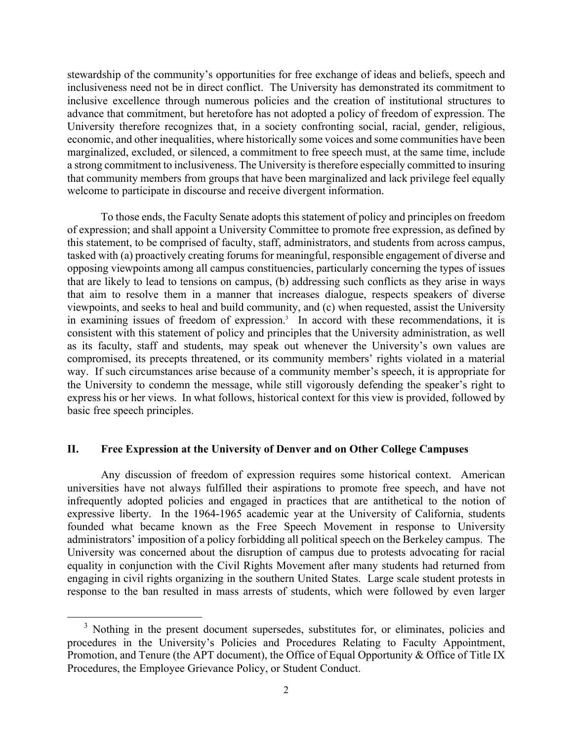stewardship of the community's opportunities for free exchange of ideas and beliefs, speech and inclusiveness need not be in direct conflict. The University has demonstrated its commitment to inclusive excellence through numerous policies and the creation of institutional structures to advance that commitment, but heretofore has not adopted a policy of freedom of expression. The University therefore recognizes that, in a society confronting social, racial, gender, religious, economic, and other inequalities, where historically some voices and some communities have been marginalized, excluded, or silenced, a commitment to free speech must, at the same time, include a strong commitment to inclusiveness. The University is therefore especially committed to insuring that community members from groups that have been marginalized and lack privilege feel equally welcome to participate in discourse and receive divergent information.

To those ends, the Faculty Senate adopts this statement of policy and principles on freedom of expression; and shall appoint a University Committee to promote free expression, as defined by this statement, to be comprised of faculty, staff, administrators, and students from across campus, tasked with (a) proactively creating forums for meaningful, responsible engagement of diverse and opposing viewpoints among all campus constituencies, particularly concerning the types of issues that are likely to lead to tensions on campus, (b) addressing such conflicts as they arise in ways that aim to resolve them in a manner that increases dialogue, respects speakers of diverse viewpoints, and seeks to heal and build community, and (c) when requested, assist the University in examining issues of freedom of expression. 3 In accord with these recommendations, it is consistent with this statement of policy and principles that the University administration, as well as its faculty, staff and students, may speak out whenever the University's own values are compromised, its precepts threatened, or its community members' rights violated in a material way. If such circumstances arise because of a community member's speech, it is appropriate for the University to condemn the message, while still vigorously defending the speaker's right to express his or her views. In what follows, historical context for this view is provided, followed by basic free speech principles.

### **II. Free Expression at the University of Denver and on Other College Campuses**

Any discussion of freedom of expression requires some historical context. American universities have not always fulfilled their aspirations to promote free speech, and have not infrequently adopted policies and engaged in practices that are antithetical to the notion of expressive liberty. In the 1964-1965 academic year at the University of California, students founded what became known as the Free Speech Movement in response to University administrators' imposition of a policy forbidding all political speech on the Berkeley campus. The University was concerned about the disruption of campus due to protests advocating for racial equality in conjunction with the Civil Rights Movement after many students had returned from engaging in civil rights organizing in the southern United States. Large scale student protests in response to the ban resulted in mass arrests of students, which were followed by even larger

<sup>&</sup>lt;sup>3</sup> Nothing in the present document supersedes, substitutes for, or eliminates, policies and procedures in the University's Policies and Procedures Relating to Faculty Appointment, Promotion, and Tenure (the APT document), the Office of Equal Opportunity & Office of Title IX Procedures, the Employee Grievance Policy, or Student Conduct.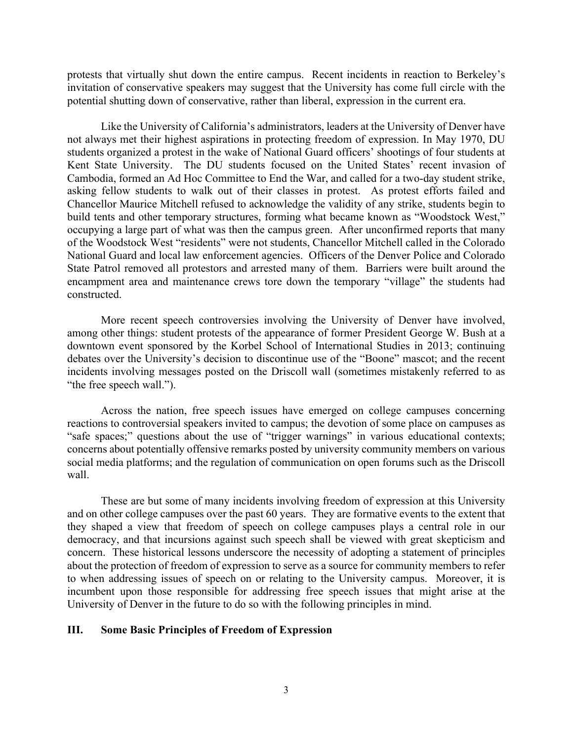protests that virtually shut down the entire campus. Recent incidents in reaction to Berkeley's invitation of conservative speakers may suggest that the University has come full circle with the potential shutting down of conservative, rather than liberal, expression in the current era.

Like the University of California's administrators, leaders at the University of Denver have not always met their highest aspirations in protecting freedom of expression. In May 1970, DU students organized a protest in the wake of National Guard officers' shootings of four students at Kent State University. The DU students focused on the United States' recent invasion of Cambodia, formed an Ad Hoc Committee to End the War, and called for a two-day student strike, asking fellow students to walk out of their classes in protest. As protest efforts failed and Chancellor Maurice Mitchell refused to acknowledge the validity of any strike, students begin to build tents and other temporary structures, forming what became known as "Woodstock West," occupying a large part of what was then the campus green. After unconfirmed reports that many of the Woodstock West "residents" were not students, Chancellor Mitchell called in the Colorado National Guard and local law enforcement agencies. Officers of the Denver Police and Colorado State Patrol removed all protestors and arrested many of them. Barriers were built around the encampment area and maintenance crews tore down the temporary "village" the students had constructed.

More recent speech controversies involving the University of Denver have involved, among other things: student protests of the appearance of former President George W. Bush at a downtown event sponsored by the Korbel School of International Studies in 2013; continuing debates over the University's decision to discontinue use of the "Boone" mascot; and the recent incidents involving messages posted on the Driscoll wall (sometimes mistakenly referred to as "the free speech wall.").

Across the nation, free speech issues have emerged on college campuses concerning reactions to controversial speakers invited to campus; the devotion of some place on campuses as "safe spaces;" questions about the use of "trigger warnings" in various educational contexts; concerns about potentially offensive remarks posted by university community members on various social media platforms; and the regulation of communication on open forums such as the Driscoll wall.

These are but some of many incidents involving freedom of expression at this University and on other college campuses over the past 60 years. They are formative events to the extent that they shaped a view that freedom of speech on college campuses plays a central role in our democracy, and that incursions against such speech shall be viewed with great skepticism and concern. These historical lessons underscore the necessity of adopting a statement of principles about the protection of freedom of expression to serve as a source for community members to refer to when addressing issues of speech on or relating to the University campus. Moreover, it is incumbent upon those responsible for addressing free speech issues that might arise at the University of Denver in the future to do so with the following principles in mind.

### **III. Some Basic Principles of Freedom of Expression**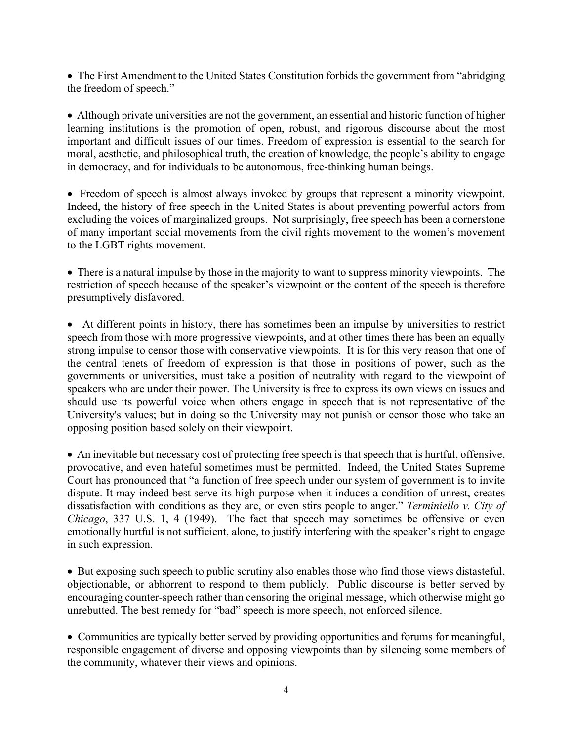• The First Amendment to the United States Constitution forbids the government from "abridging" the freedom of speech."

• Although private universities are not the government, an essential and historic function of higher learning institutions is the promotion of open, robust, and rigorous discourse about the most important and difficult issues of our times. Freedom of expression is essential to the search for moral, aesthetic, and philosophical truth, the creation of knowledge, the people's ability to engage in democracy, and for individuals to be autonomous, free-thinking human beings.

• Freedom of speech is almost always invoked by groups that represent a minority viewpoint. Indeed, the history of free speech in the United States is about preventing powerful actors from excluding the voices of marginalized groups. Not surprisingly, free speech has been a cornerstone of many important social movements from the civil rights movement to the women's movement to the LGBT rights movement.

• There is a natural impulse by those in the majority to want to suppress minority viewpoints. The restriction of speech because of the speaker's viewpoint or the content of the speech is therefore presumptively disfavored.

• At different points in history, there has sometimes been an impulse by universities to restrict speech from those with more progressive viewpoints, and at other times there has been an equally strong impulse to censor those with conservative viewpoints. It is for this very reason that one of the central tenets of freedom of expression is that those in positions of power, such as the governments or universities, must take a position of neutrality with regard to the viewpoint of speakers who are under their power. The University is free to express its own views on issues and should use its powerful voice when others engage in speech that is not representative of the University's values; but in doing so the University may not punish or censor those who take an opposing position based solely on their viewpoint.

• An inevitable but necessary cost of protecting free speech is that speech that is hurtful, offensive, provocative, and even hateful sometimes must be permitted. Indeed, the United States Supreme Court has pronounced that "a function of free speech under our system of government is to invite dispute. It may indeed best serve its high purpose when it induces a condition of unrest, creates dissatisfaction with conditions as they are, or even stirs people to anger." *Terminiello v. City of Chicago*, 337 U.S. 1, 4 (1949). The fact that speech may sometimes be offensive or even emotionally hurtful is not sufficient, alone, to justify interfering with the speaker's right to engage in such expression.

• But exposing such speech to public scrutiny also enables those who find those views distasteful, objectionable, or abhorrent to respond to them publicly. Public discourse is better served by encouraging counter-speech rather than censoring the original message, which otherwise might go unrebutted. The best remedy for "bad" speech is more speech, not enforced silence.

• Communities are typically better served by providing opportunities and forums for meaningful, responsible engagement of diverse and opposing viewpoints than by silencing some members of the community, whatever their views and opinions.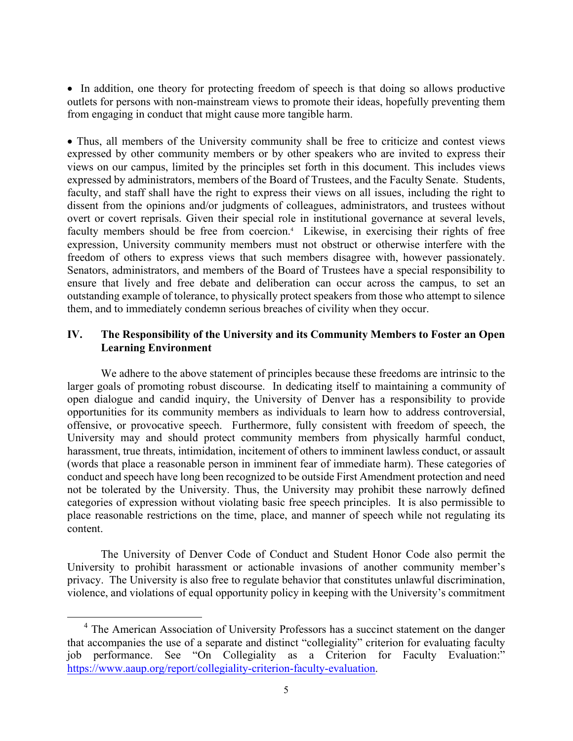• In addition, one theory for protecting freedom of speech is that doing so allows productive outlets for persons with non-mainstream views to promote their ideas, hopefully preventing them from engaging in conduct that might cause more tangible harm.

• Thus, all members of the University community shall be free to criticize and contest views expressed by other community members or by other speakers who are invited to express their views on our campus, limited by the principles set forth in this document. This includes views expressed by administrators, members of the Board of Trustees, and the Faculty Senate. Students, faculty, and staff shall have the right to express their views on all issues, including the right to dissent from the opinions and/or judgments of colleagues, administrators, and trustees without overt or covert reprisals. Given their special role in institutional governance at several levels, faculty members should be free from coercion.<sup>4</sup> Likewise, in exercising their rights of free expression, University community members must not obstruct or otherwise interfere with the freedom of others to express views that such members disagree with, however passionately. Senators, administrators, and members of the Board of Trustees have a special responsibility to ensure that lively and free debate and deliberation can occur across the campus, to set an outstanding example of tolerance, to physically protect speakers from those who attempt to silence them, and to immediately condemn serious breaches of civility when they occur.

# **IV. The Responsibility of the University and its Community Members to Foster an Open Learning Environment**

We adhere to the above statement of principles because these freedoms are intrinsic to the larger goals of promoting robust discourse. In dedicating itself to maintaining a community of open dialogue and candid inquiry, the University of Denver has a responsibility to provide opportunities for its community members as individuals to learn how to address controversial, offensive, or provocative speech. Furthermore, fully consistent with freedom of speech, the University may and should protect community members from physically harmful conduct, harassment, true threats, intimidation, incitement of others to imminent lawless conduct, or assault (words that place a reasonable person in imminent fear of immediate harm). These categories of conduct and speech have long been recognized to be outside First Amendment protection and need not be tolerated by the University. Thus, the University may prohibit these narrowly defined categories of expression without violating basic free speech principles. It is also permissible to place reasonable restrictions on the time, place, and manner of speech while not regulating its content.

The University of Denver Code of Conduct and Student Honor Code also permit the University to prohibit harassment or actionable invasions of another community member's privacy. The University is also free to regulate behavior that constitutes unlawful discrimination, violence, and violations of equal opportunity policy in keeping with the University's commitment

<sup>&</sup>lt;sup>4</sup> The American Association of University Professors has a succinct statement on the danger that accompanies the use of a separate and distinct "collegiality" criterion for evaluating faculty job performance. See "On Collegiality as a Criterion for Faculty Evaluation:" https://www.aaup.org/report/collegiality-criterion-faculty-evaluation.